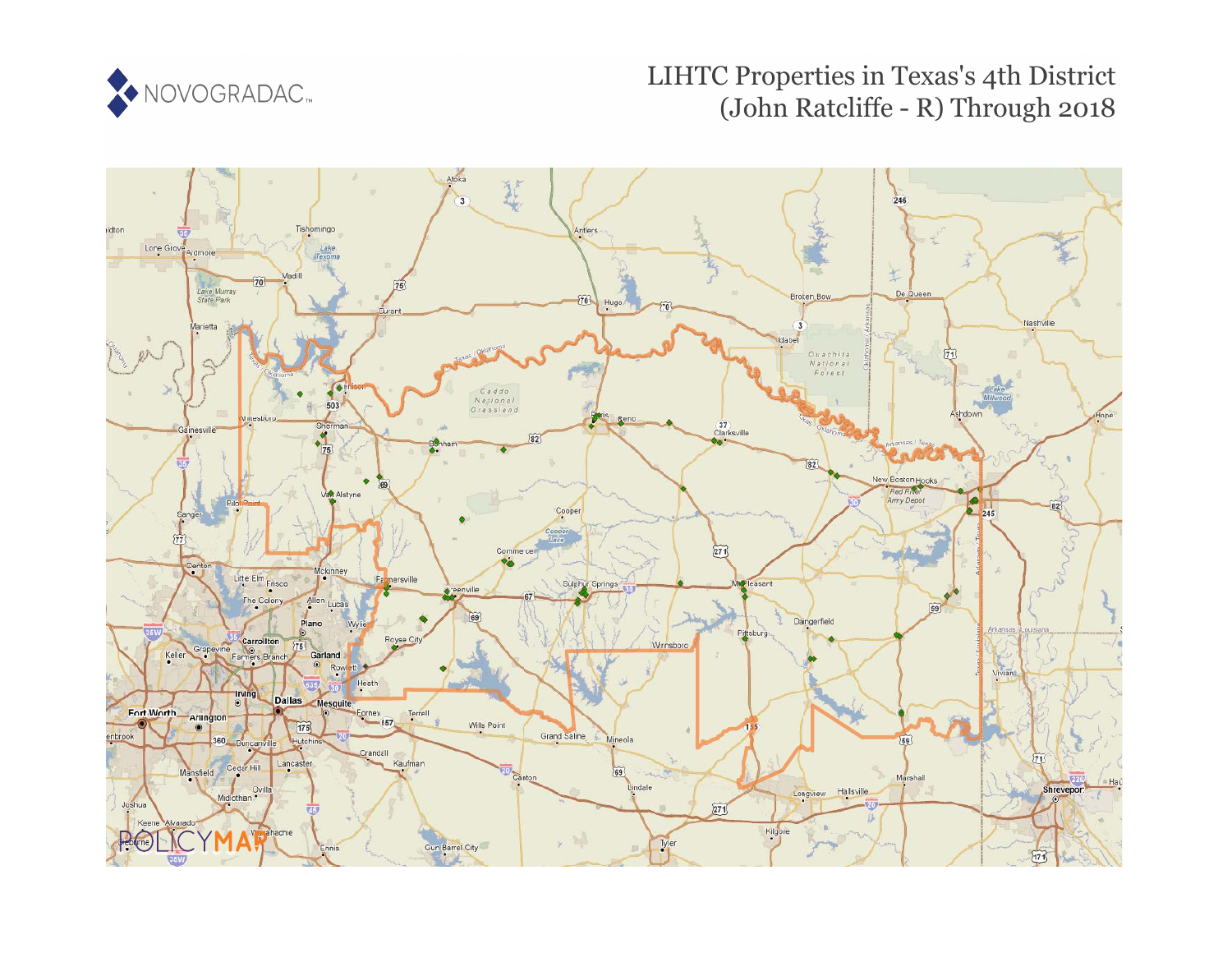

# LIHTC Properties in Texas's 4th District (John Ratcliffe - R) Through 2018

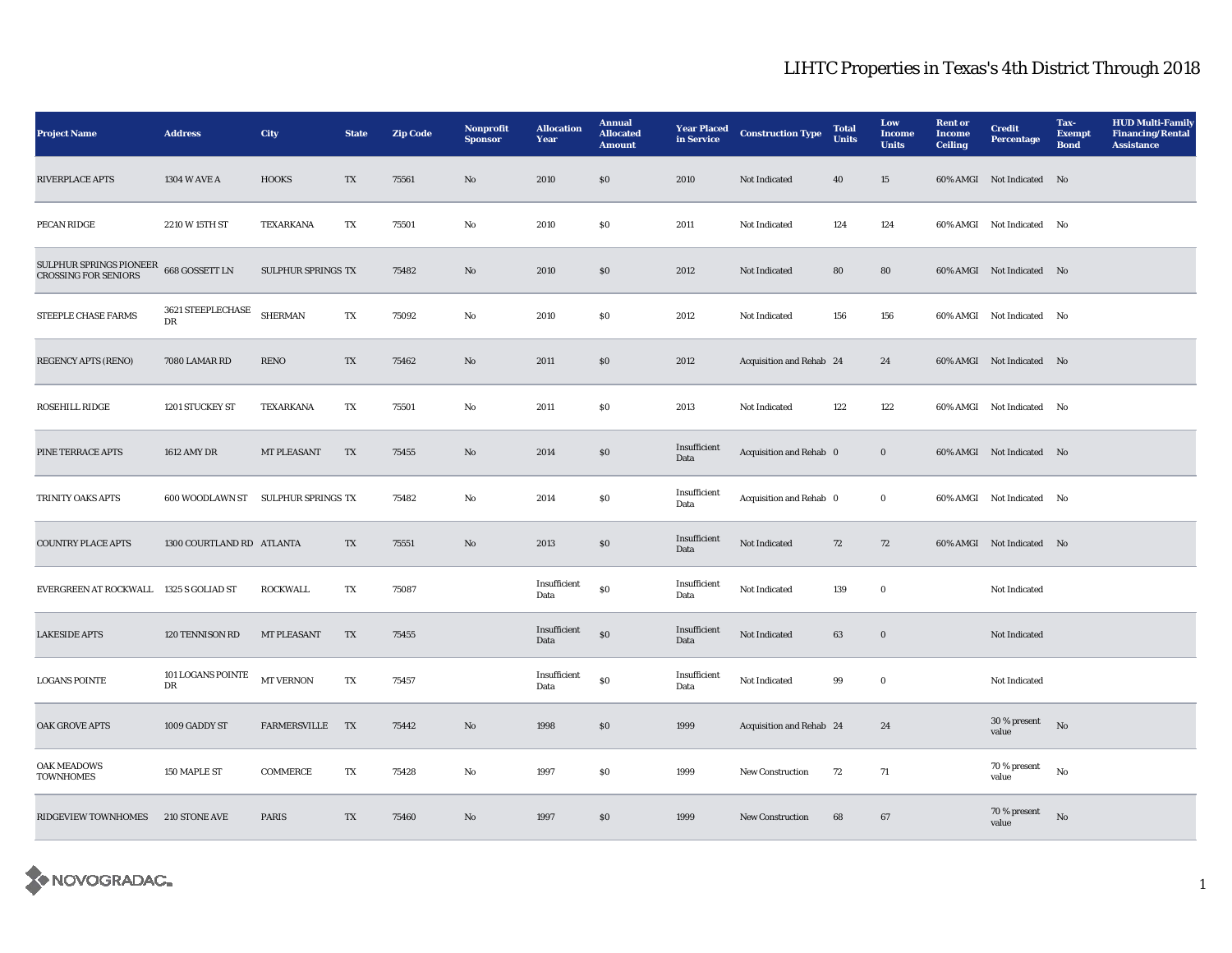| <b>Project Name</b>                                                   | <b>Address</b>                   | City                      | <b>State</b>           | <b>Zip Code</b> | Nonprofit<br><b>Sponsor</b> | <b>Allocation</b><br>Year | <b>Annual</b><br><b>Allocated</b><br><b>Amount</b> | <b>Year Placed</b><br>in Service | <b>Construction Type</b> | <b>Total</b><br><b>Units</b> | Low<br><b>Income</b><br><b>Units</b> | <b>Rent or</b><br><b>Income</b><br><b>Ceiling</b> | <b>Credit</b><br><b>Percentage</b> | Tax-<br><b>Exempt</b><br><b>Bond</b> | <b>HUD Multi-Family</b><br><b>Financing/Rental</b><br><b>Assistance</b> |
|-----------------------------------------------------------------------|----------------------------------|---------------------------|------------------------|-----------------|-----------------------------|---------------------------|----------------------------------------------------|----------------------------------|--------------------------|------------------------------|--------------------------------------|---------------------------------------------------|------------------------------------|--------------------------------------|-------------------------------------------------------------------------|
| <b>RIVERPLACE APTS</b>                                                | 1304 W AVE A                     | <b>HOOKS</b>              | TX                     | 75561           | No                          | 2010                      | $\$0$                                              | 2010                             | Not Indicated            | 40                           | 15                                   |                                                   | 60% AMGI Not Indicated No          |                                      |                                                                         |
| PECAN RIDGE                                                           | 2210 W 15TH ST                   | TEXARKANA                 | TX                     | 75501           | No                          | 2010                      | $\$0$                                              | 2011                             | Not Indicated            | 124                          | 124                                  |                                                   | 60% AMGI Not Indicated No          |                                      |                                                                         |
| SULPHUR SPRINGS PIONEER 668 GOSSETT LN<br><b>CROSSING FOR SENIORS</b> |                                  | <b>SULPHUR SPRINGS TX</b> |                        | 75482           | $\mathbf{N}\mathbf{o}$      | 2010                      | $\$0$                                              | 2012                             | Not Indicated            | 80                           | 80                                   |                                                   | 60% AMGI Not Indicated No          |                                      |                                                                         |
| STEEPLE CHASE FARMS                                                   | $3621\rm\, STEEPLECHASE$<br>DR   | <b>SHERMAN</b>            | TX                     | 75092           | No                          | 2010                      | $\$0$                                              | 2012                             | Not Indicated            | 156                          | 156                                  |                                                   | 60% AMGI Not Indicated No          |                                      |                                                                         |
| <b>REGENCY APTS (RENO)</b>                                            | 7080 LAMAR RD                    | <b>RENO</b>               | TX                     | 75462           | $\rm\thinspace No$          | 2011                      | $\$0$                                              | 2012                             | Acquisition and Rehab 24 |                              | 24                                   |                                                   | 60% AMGI Not Indicated No          |                                      |                                                                         |
| <b>ROSEHILL RIDGE</b>                                                 | 1201 STUCKEY ST                  | TEXARKANA                 | TX                     | 75501           | $\rm No$                    | 2011                      | $\$0$                                              | 2013                             | <b>Not Indicated</b>     | 122                          | 122                                  |                                                   | 60% AMGI Not Indicated No          |                                      |                                                                         |
| PINE TERRACE APTS                                                     | 1612 AMY DR                      | <b>MT PLEASANT</b>        | TX                     | 75455           | No                          | 2014                      | \$0                                                | Insufficient<br>Data             | Acquisition and Rehab 0  |                              | $\bf{0}$                             |                                                   | 60% AMGI Not Indicated No          |                                      |                                                                         |
| TRINITY OAKS APTS                                                     | 600 WOODLAWN ST                  | SULPHUR SPRINGS TX        |                        | 75482           | No                          | 2014                      | $\$0$                                              | Insufficient<br>Data             | Acquisition and Rehab 0  |                              | $\bf{0}$                             |                                                   | 60% AMGI Not Indicated No          |                                      |                                                                         |
| <b>COUNTRY PLACE APTS</b>                                             | 1300 COURTLAND RD ATLANTA        |                           | TX                     | 75551           | No                          | 2013                      | ${\bf S0}$                                         | Insufficient<br>Data             | Not Indicated            | 72                           | 72                                   |                                                   | 60% AMGI Not Indicated No          |                                      |                                                                         |
| EVERGREEN AT ROCKWALL 1325 S GOLIAD ST                                |                                  | <b>ROCKWALL</b>           | TX                     | 75087           |                             | Insufficient<br>Data      | $\$0$                                              | Insufficient<br>Data             | Not Indicated            | 139                          | $\bf{0}$                             |                                                   | Not Indicated                      |                                      |                                                                         |
| <b>LAKESIDE APTS</b>                                                  | 120 TENNISON RD                  | <b>MT PLEASANT</b>        | $\mathbf{T}\mathbf{X}$ | 75455           |                             | Insufficient<br>Data      | ${\bf S0}$                                         | Insufficient<br>Data             | Not Indicated            | 63                           | $\bf{0}$                             |                                                   | Not Indicated                      |                                      |                                                                         |
| <b>LOGANS POINTE</b>                                                  | 101 LOGANS POINTE<br>$_{\rm DR}$ | <b>MT VERNON</b>          | TX                     | 75457           |                             | Insufficient<br>Data      | $\$0$                                              | Insufficient<br>Data             | Not Indicated            | 99                           | $\bf{0}$                             |                                                   | Not Indicated                      |                                      |                                                                         |
| <b>OAK GROVE APTS</b>                                                 | 1009 GADDY ST                    | <b>FARMERSVILLE</b>       | TX                     | 75442           | No                          | 1998                      | \$0\$                                              | 1999                             | Acquisition and Rehab 24 |                              | 24                                   |                                                   | 30 % present<br>value              | No                                   |                                                                         |
| <b>OAK MEADOWS</b><br><b>TOWNHOMES</b>                                | 150 MAPLE ST                     | COMMERCE                  | TX                     | 75428           | No                          | 1997                      | \$0                                                | 1999                             | New Construction         | 72                           | 71                                   |                                                   | 70 % present<br>value              | No                                   |                                                                         |
| RIDGEVIEW TOWNHOMES                                                   | <b>210 STONE AVE</b>             | <b>PARIS</b>              | TX                     | 75460           | $\mathbf{N}\mathbf{o}$      | 1997                      | $\$0$                                              | 1999                             | New Construction         | 68                           | 67                                   |                                                   | $70\,\%$ present<br>value          | No                                   |                                                                         |

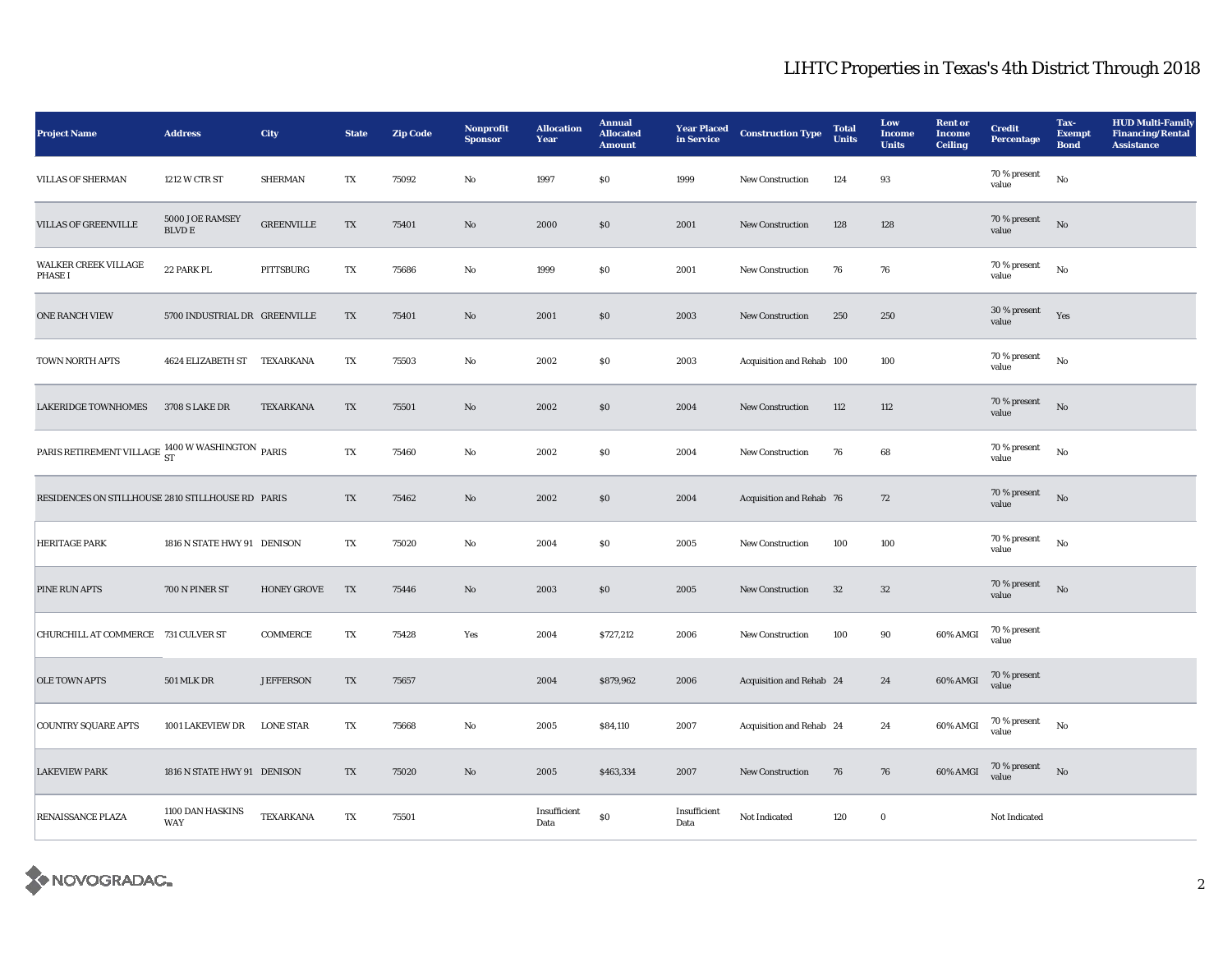| <b>Project Name</b>                                                    | <b>Address</b>                   | City               | <b>State</b>           | <b>Zip Code</b> | Nonprofit<br><b>Sponsor</b> | <b>Allocation</b><br>Year | <b>Annual</b><br><b>Allocated</b><br><b>Amount</b> | <b>Year Placed</b><br>in Service | <b>Construction Type</b>  | <b>Total</b><br><b>Units</b> | Low<br><b>Income</b><br><b>Units</b> | <b>Rent or</b><br><b>Income</b><br><b>Ceiling</b> | <b>Credit</b><br><b>Percentage</b> | Tax-<br><b>Exempt</b><br><b>Bond</b> | <b>HUD Multi-Family</b><br><b>Financing/Rental</b><br><b>Assistance</b> |
|------------------------------------------------------------------------|----------------------------------|--------------------|------------------------|-----------------|-----------------------------|---------------------------|----------------------------------------------------|----------------------------------|---------------------------|------------------------------|--------------------------------------|---------------------------------------------------|------------------------------------|--------------------------------------|-------------------------------------------------------------------------|
| VILLAS OF SHERMAN                                                      | 1212 W CTR ST                    | <b>SHERMAN</b>     | TX                     | 75092           | $\rm No$                    | 1997                      | \$0                                                | 1999                             | New Construction          | 124                          | 93                                   |                                                   | 70 % present<br>value              | $_{\rm No}$                          |                                                                         |
| <b>VILLAS OF GREENVILLE</b>                                            | 5000 JOE RAMSEY<br><b>BLVD E</b> | <b>GREENVILLE</b>  | TX                     | 75401           | No                          | 2000                      | \$0                                                | 2001                             | New Construction          | 128                          | 128                                  |                                                   | 70 % present<br>value              | $\mathbf{N}\mathbf{o}$               |                                                                         |
| <b>WALKER CREEK VILLAGE</b><br><b>PHASE I</b>                          | 22 PARK PL                       | <b>PITTSBURG</b>   | TX                     | 75686           | No                          | 1999                      | \$0                                                | 2001                             | <b>New Construction</b>   | 76                           | 76                                   |                                                   | 70 % present<br>value              | No                                   |                                                                         |
| <b>ONE RANCH VIEW</b>                                                  | 5700 INDUSTRIAL DR GREENVILLE    |                    | $\mathbf{T}\mathbf{X}$ | 75401           | No                          | 2001                      | \$0                                                | 2003                             | New Construction          | 250                          | 250                                  |                                                   | $30\,\%$ present<br>value          | Yes                                  |                                                                         |
| TOWN NORTH APTS                                                        | <b>4624 ELIZABETH ST</b>         | TEXARKANA          | TX                     | 75503           | No                          | 2002                      | $\$0$                                              | 2003                             | Acquisition and Rehab 100 |                              | 100                                  |                                                   | 70 % present<br>value              | $_{\rm No}$                          |                                                                         |
| <b>LAKERIDGE TOWNHOMES</b>                                             | <b>3708 S LAKE DR</b>            | TEXARKANA          | $\mathbf{T}\mathbf{X}$ | 75501           | $\mathbf{N}\mathbf{o}$      | 2002                      | $\$0$                                              | 2004                             | New Construction          | 112                          | 112                                  |                                                   | 70 % present<br>value              | No                                   |                                                                         |
| PARIS RETIREMENT VILLAGE $\frac{\rm 1400~W\,WASHINGTON}{\rm ST}$ PARIS |                                  |                    | TX                     | 75460           | $\rm No$                    | 2002                      | $\$0$                                              | 2004                             | New Construction          | 76                           | 68                                   |                                                   | 70 % present<br>value              | No                                   |                                                                         |
| RESIDENCES ON STILLHOUSE 2810 STILLHOUSE RD PARIS                      |                                  |                    | TX                     | 75462           | No                          | 2002                      | $\$0$                                              | 2004                             | Acquisition and Rehab 76  |                              | 72                                   |                                                   | 70 % present<br>value              | No                                   |                                                                         |
| <b>HERITAGE PARK</b>                                                   | 1816 N STATE HWY 91 DENISON      |                    | TX                     | 75020           | $\mathbf{No}$               | 2004                      | $\$0$                                              | 2005                             | New Construction          | 100                          | 100                                  |                                                   | 70 % present<br>value              | $\mathbf{N}\mathbf{o}$               |                                                                         |
| <b>PINE RUN APTS</b>                                                   | 700 N PINER ST                   | <b>HONEY GROVE</b> | TX                     | 75446           | No                          | 2003                      | $\$0$                                              | 2005                             | New Construction          | $32\,$                       | 32                                   |                                                   | 70 % present<br>value              | No                                   |                                                                         |
| CHURCHILL AT COMMERCE 731 CULVER ST                                    |                                  | <b>COMMERCE</b>    | $\mathbf{T}\mathbf{X}$ | 75428           | Yes                         | 2004                      | \$727,212                                          | 2006                             | New Construction          | 100                          | 90                                   | 60% AMGI                                          | 70 % present<br>value              |                                      |                                                                         |
| <b>OLE TOWN APTS</b>                                                   | <b>501 MLK DR</b>                | <b>JEFFERSON</b>   | TX                     | 75657           |                             | 2004                      | \$879,962                                          | 2006                             | Acquisition and Rehab 24  |                              | 24                                   | 60% AMGI                                          | 70 % present<br>value              |                                      |                                                                         |
| <b>COUNTRY SQUARE APTS</b>                                             | 1001 LAKEVIEW DR                 | <b>LONE STAR</b>   | TX                     | 75668           | No                          | 2005                      | \$84,110                                           | 2007                             | Acquisition and Rehab 24  |                              | 24                                   | 60% AMGI                                          | 70 % present<br>value              | No                                   |                                                                         |
| <b>LAKEVIEW PARK</b>                                                   | 1816 N STATE HWY 91 DENISON      |                    | $\mathbf{T}\mathbf{X}$ | 75020           | No                          | 2005                      | \$463,334                                          | 2007                             | New Construction          | 76                           | 76                                   | 60% AMGI                                          | 70 % present<br>value              | $\rm No$                             |                                                                         |
| <b>RENAISSANCE PLAZA</b>                                               | 1100 DAN HASKINS<br><b>WAY</b>   | TEXARKANA          | TX                     | 75501           |                             | Insufficient<br>Data      | S <sub>0</sub>                                     | Insufficient<br>Data             | Not Indicated             | 120                          | $\bf{0}$                             |                                                   | Not Indicated                      |                                      |                                                                         |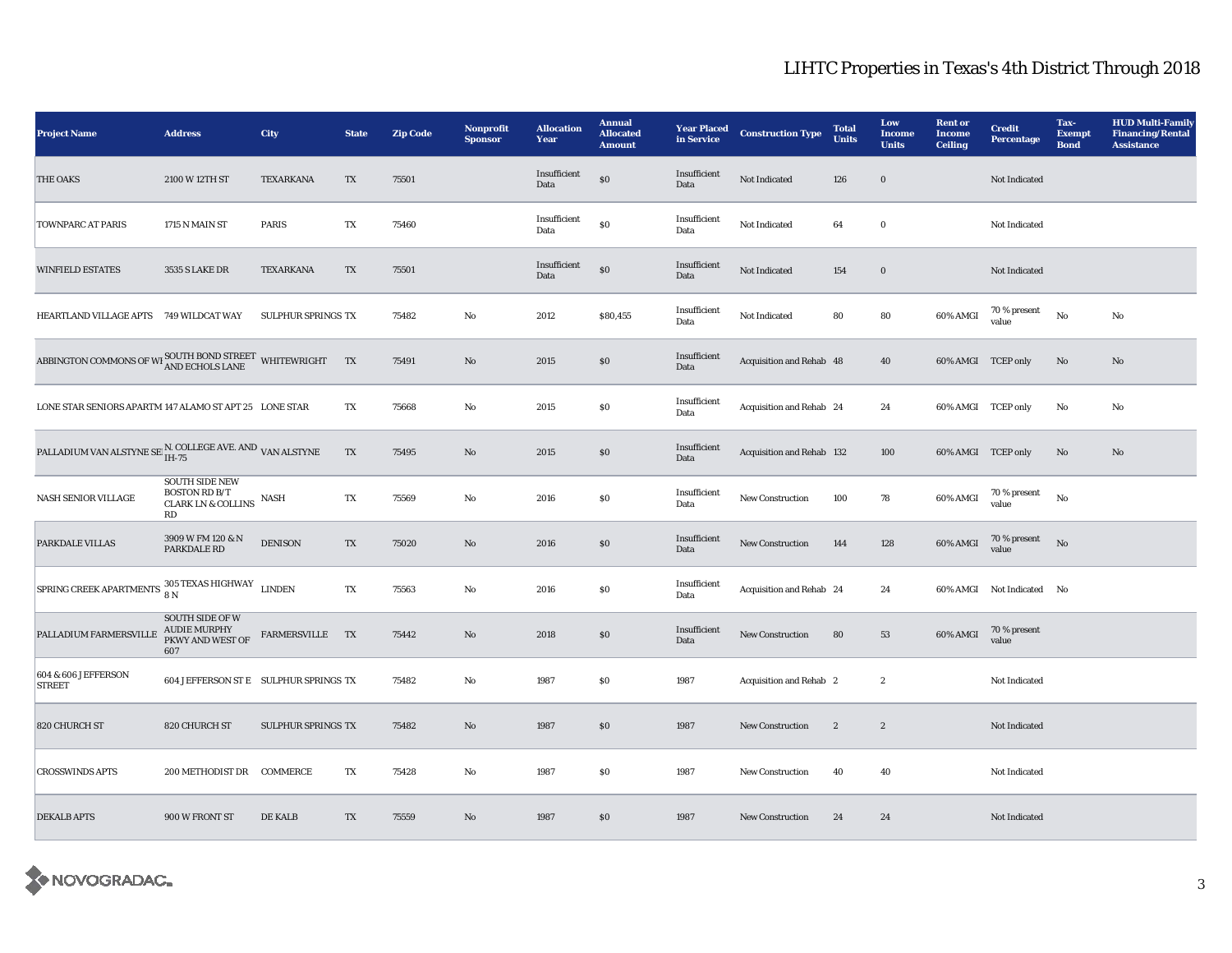| <b>Project Name</b>                                                                    | <b>Address</b>                                                                       | City               | <b>State</b>           | <b>Zip Code</b> | Nonprofit<br><b>Sponsor</b> | <b>Allocation</b><br>Year | <b>Annual</b><br><b>Allocated</b><br><b>Amount</b> | <b>Year Placed</b><br>in Service | <b>Construction Type</b>  | <b>Total</b><br><b>Units</b> | Low<br><b>Income</b><br><b>Units</b> | <b>Rent</b> or<br><b>Income</b><br><b>Ceiling</b> | <b>Credit</b><br>Percentage | Tax-<br><b>Exempt</b><br><b>Bond</b> | <b>HUD Multi-Family</b><br><b>Financing/Rental</b><br><b>Assistance</b> |
|----------------------------------------------------------------------------------------|--------------------------------------------------------------------------------------|--------------------|------------------------|-----------------|-----------------------------|---------------------------|----------------------------------------------------|----------------------------------|---------------------------|------------------------------|--------------------------------------|---------------------------------------------------|-----------------------------|--------------------------------------|-------------------------------------------------------------------------|
| <b>THE OAKS</b>                                                                        | 2100 W 12TH ST                                                                       | TEXARKANA          | $\mathbf{T}\mathbf{X}$ | 75501           |                             | Insufficient<br>Data      | $\$0$                                              | Insufficient<br>Data             | Not Indicated             | 126                          | $\boldsymbol{0}$                     |                                                   | Not Indicated               |                                      |                                                                         |
| <b>TOWNPARC AT PARIS</b>                                                               | 1715 N MAIN ST                                                                       | <b>PARIS</b>       | TX                     | 75460           |                             | Insufficient<br>Data      | $\$0$                                              | Insufficient<br>Data             | Not Indicated             | 64                           | $\bf{0}$                             |                                                   | Not Indicated               |                                      |                                                                         |
| <b>WINFIELD ESTATES</b>                                                                | 3535 S LAKE DR                                                                       | <b>TEXARKANA</b>   | TX                     | 75501           |                             | Insufficient<br>Data      | $\$0$                                              | Insufficient<br>Data             | Not Indicated             | 154                          | $\bf{0}$                             |                                                   | Not Indicated               |                                      |                                                                         |
| HEARTLAND VILLAGE APTS 749 WILDCAT WAY                                                 |                                                                                      | SULPHUR SPRINGS TX |                        | 75482           | $\rm No$                    | 2012                      | \$80,455                                           | Insufficient<br>Data             | Not Indicated             | 80                           | 80                                   | 60% AMGI                                          | 70 % present<br>value       | No                                   | No                                                                      |
| ABBINGTON COMMONS OF WI SOUTH BOND STREET WHITEWRIGHT TX                               |                                                                                      |                    |                        | 75491           | No                          | 2015                      | \$0                                                | Insufficient<br>Data             | Acquisition and Rehab 48  |                              | 40                                   | 60% AMGI TCEP only                                |                             | No                                   | No                                                                      |
| LONE STAR SENIORS APARTM 147 ALAMO ST APT 25 LONE STAR                                 |                                                                                      |                    | TX                     | 75668           | $\mathbf{No}$               | 2015                      | $\$0$                                              | Insufficient<br>Data             | Acquisition and Rehab 24  |                              | 24                                   | 60% AMGI TCEP only                                |                             | No                                   | $\mathbf{N}\mathbf{o}$                                                  |
| PALLADIUM VAN ALSTYNE SE $_{\rm IH-75}^{\rm N.}$ COLLEGE AVE. AND $_{\rm VAN~ALSTYNE}$ |                                                                                      |                    | $\mathbf{T}\mathbf{X}$ | 75495           | No                          | 2015                      | $\$0$                                              | Insufficient<br>Data             | Acquisition and Rehab 132 |                              | 100                                  | 60% AMGI TCEP only                                |                             | No                                   | No                                                                      |
| <b>NASH SENIOR VILLAGE</b>                                                             | <b>SOUTH SIDE NEW</b><br><b>BOSTON RD B/T</b><br><b>CLARK LN &amp; COLLINS</b><br>RD | <b>NASH</b>        | TX                     | 75569           | No                          | 2016                      | \$0                                                | Insufficient<br>Data             | <b>New Construction</b>   | 100                          | 78                                   | 60% AMGI                                          | $70$ % present<br>value     | No                                   |                                                                         |
| PARKDALE VILLAS                                                                        | 3909 W FM 120 & N<br>PARKDALE RD                                                     | <b>DENISON</b>     | TX                     | 75020           | $\mathbf{N}\mathbf{o}$      | 2016                      | $\$0$                                              | Insufficient<br>Data             | New Construction          | 144                          | 128                                  | 60% AMGI                                          | 70 % present<br>value       | No                                   |                                                                         |
| SPRING CREEK APARTMENTS $\frac{305 \text{ TEXAS HIGHWAY}}{8 \text{ N}}$ LINDEN         |                                                                                      |                    | TX                     | 75563           | $\mathbf{N}\mathbf{o}$      | 2016                      | \$0                                                | Insufficient<br>Data             | Acquisition and Rehab 24  |                              | 24                                   |                                                   | 60% AMGI Not Indicated No   |                                      |                                                                         |
| PALLADIUM FARMERSVILLE                                                                 | <b>SOUTH SIDE OF W</b><br><b>AUDIE MURPHY</b><br>PKWY AND WEST OF<br>607             | FARMERSVILLE TX    |                        | 75442           | No                          | 2018                      | $\$0$                                              | Insufficient<br>Data             | New Construction          | 80                           | 53                                   | 60% AMGI                                          | 70 % present<br>value       |                                      |                                                                         |
| 604 & 606 JEFFERSON<br><b>STREET</b>                                                   | 604 JEFFERSON ST E SULPHUR SPRINGS TX                                                |                    |                        | 75482           | $\mathbf{No}$               | 1987                      | \$0                                                | 1987                             | Acquisition and Rehab 2   |                              | $\boldsymbol{2}$                     |                                                   | Not Indicated               |                                      |                                                                         |
| 820 CHURCH ST                                                                          | 820 CHURCH ST                                                                        | SULPHUR SPRINGS TX |                        | 75482           | $\mathbf{N}\mathbf{o}$      | 1987                      | \$0                                                | 1987                             | New Construction          | $\mathbf{2}$                 | $\boldsymbol{2}$                     |                                                   | Not Indicated               |                                      |                                                                         |
| <b>CROSSWINDS APTS</b>                                                                 | 200 METHODIST DR                                                                     | <b>COMMERCE</b>    | TX                     | 75428           | No                          | 1987                      | S <sub>0</sub>                                     | 1987                             | <b>New Construction</b>   | 40                           | 40                                   |                                                   | <b>Not Indicated</b>        |                                      |                                                                         |
| <b>DEKALB APTS</b>                                                                     | 900 W FRONT ST                                                                       | <b>DE KALB</b>     | TX                     | 75559           | $\mathbf{N}\mathbf{o}$      | 1987                      | \$0                                                | 1987                             | New Construction          | 24                           | 24                                   |                                                   | Not Indicated               |                                      |                                                                         |

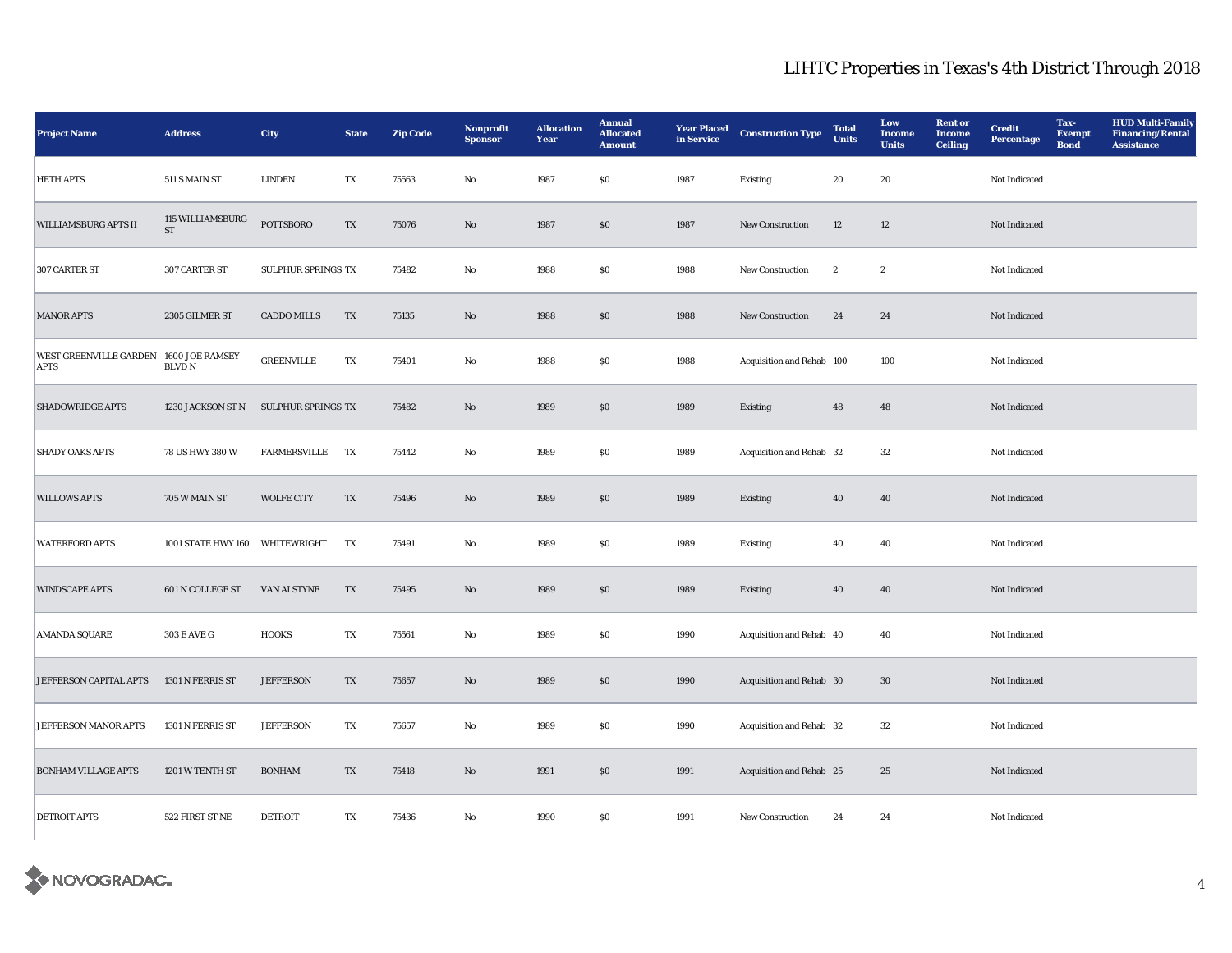| <b>Project Name</b>                                   | <b>Address</b>                          | <b>City</b>        | <b>State</b>            | <b>Zip Code</b> | Nonprofit<br><b>Sponsor</b> | <b>Allocation</b><br><b>Year</b> | <b>Annual</b><br><b>Allocated</b><br><b>Amount</b> | <b>Year Placed</b><br>in Service | <b>Construction Type</b>  | <b>Total</b><br><b>Units</b> | Low<br><b>Income</b><br><b>Units</b> | <b>Rent or</b><br><b>Income</b><br><b>Ceiling</b> | <b>Credit</b><br><b>Percentage</b> | Tax-<br><b>Exempt</b><br><b>Bond</b> | <b>HUD Multi-Family</b><br><b>Financing/Rental</b><br>Assistance |
|-------------------------------------------------------|-----------------------------------------|--------------------|-------------------------|-----------------|-----------------------------|----------------------------------|----------------------------------------------------|----------------------------------|---------------------------|------------------------------|--------------------------------------|---------------------------------------------------|------------------------------------|--------------------------------------|------------------------------------------------------------------|
| <b>HETH APTS</b>                                      | 511 S MAIN ST                           | <b>LINDEN</b>      | $\mathbf{T}\mathbf{X}$  | 75563           | No                          | 1987                             | \$0                                                | 1987                             | Existing                  | 20                           | $20\,$                               |                                                   | Not Indicated                      |                                      |                                                                  |
| <b>WILLIAMSBURG APTS II</b>                           | 115 WILLIAMSBURG<br>$\operatorname{ST}$ | <b>POTTSBORO</b>   | TX                      | 75076           | No                          | 1987                             | <sub>so</sub>                                      | 1987                             | New Construction          | 12                           | 12                                   |                                                   | Not Indicated                      |                                      |                                                                  |
| 307 CARTER ST                                         | 307 CARTER ST                           | SULPHUR SPRINGS TX |                         | 75482           | $\mathbf{No}$               | 1988                             | \$0                                                | 1988                             | New Construction          | $\boldsymbol{2}$             | $\boldsymbol{2}$                     |                                                   | Not Indicated                      |                                      |                                                                  |
| <b>MANOR APTS</b>                                     | 2305 GILMER ST                          | <b>CADDO MILLS</b> | TX                      | 75135           | No                          | 1988                             | \$0                                                | 1988                             | New Construction          | 24                           | 24                                   |                                                   | Not Indicated                      |                                      |                                                                  |
| WEST GREENVILLE GARDEN 1600 JOE RAMSEY<br><b>APTS</b> | <b>BLVD N</b>                           | <b>GREENVILLE</b>  | TX                      | 75401           | No                          | 1988                             | S <sub>0</sub>                                     | 1988                             | Acquisition and Rehab 100 |                              | 100                                  |                                                   | Not Indicated                      |                                      |                                                                  |
| <b>SHADOWRIDGE APTS</b>                               | 1230 JACKSON ST N                       | SULPHUR SPRINGS TX |                         | 75482           | No                          | 1989                             | \$0                                                | 1989                             | Existing                  | 48                           | 48                                   |                                                   | Not Indicated                      |                                      |                                                                  |
| <b>SHADY OAKS APTS</b>                                | 78 US HWY 380 W                         | FARMERSVILLE       | TX                      | 75442           | No                          | 1989                             | S <sub>0</sub>                                     | 1989                             | Acquisition and Rehab 32  |                              | $32\,$                               |                                                   | Not Indicated                      |                                      |                                                                  |
| <b>WILLOWS APTS</b>                                   | 705 W MAIN ST                           | <b>WOLFE CITY</b>  | TX                      | 75496           | No                          | 1989                             | \$0                                                | 1989                             | Existing                  | 40                           | 40                                   |                                                   | Not Indicated                      |                                      |                                                                  |
| <b>WATERFORD APTS</b>                                 | <b>1001 STATE HWY 160</b>               | WHITEWRIGHT        | TX                      | 75491           | No                          | 1989                             | S <sub>0</sub>                                     | 1989                             | Existing                  | 40                           | 40                                   |                                                   | Not Indicated                      |                                      |                                                                  |
| <b>WINDSCAPE APTS</b>                                 | 601 N COLLEGE ST                        | VAN ALSTYNE        | TX                      | 75495           | $\mathbf{N}\mathbf{o}$      | 1989                             | \$0                                                | 1989                             | Existing                  | 40                           | 40                                   |                                                   | Not Indicated                      |                                      |                                                                  |
| <b>AMANDA SQUARE</b>                                  | 303 E AVE G                             | <b>HOOKS</b>       | TX                      | 75561           | $\mathbf{No}$               | 1989                             | S <sub>0</sub>                                     | 1990                             | Acquisition and Rehab 40  |                              | 40                                   |                                                   | Not Indicated                      |                                      |                                                                  |
| JEFFERSON CAPITAL APTS                                | 1301 N FERRIS ST                        | <b>JEFFERSON</b>   | TX                      | 75657           | No                          | 1989                             | \$0                                                | 1990                             | Acquisition and Rehab 30  |                              | 30                                   |                                                   | Not Indicated                      |                                      |                                                                  |
| JEFFERSON MANOR APTS                                  | 1301 N FERRIS ST                        | <b>JEFFERSON</b>   | TX                      | 75657           | $\rm No$                    | 1989                             | \$0                                                | 1990                             | Acquisition and Rehab 32  |                              | $32\,$                               |                                                   | Not Indicated                      |                                      |                                                                  |
| <b>BONHAM VILLAGE APTS</b>                            | 1201 W TENTH ST                         | <b>BONHAM</b>      | TX                      | 75418           | No                          | 1991                             | \$0                                                | 1991                             | Acquisition and Rehab 25  |                              | 25                                   |                                                   | Not Indicated                      |                                      |                                                                  |
| <b>DETROIT APTS</b>                                   | 522 FIRST ST NE                         | <b>DETROIT</b>     | $\mathbf{T} \mathbf{X}$ | 75436           | No                          | 1990                             | \$0                                                | 1991                             | New Construction          | 24                           | 24                                   |                                                   | Not Indicated                      |                                      |                                                                  |

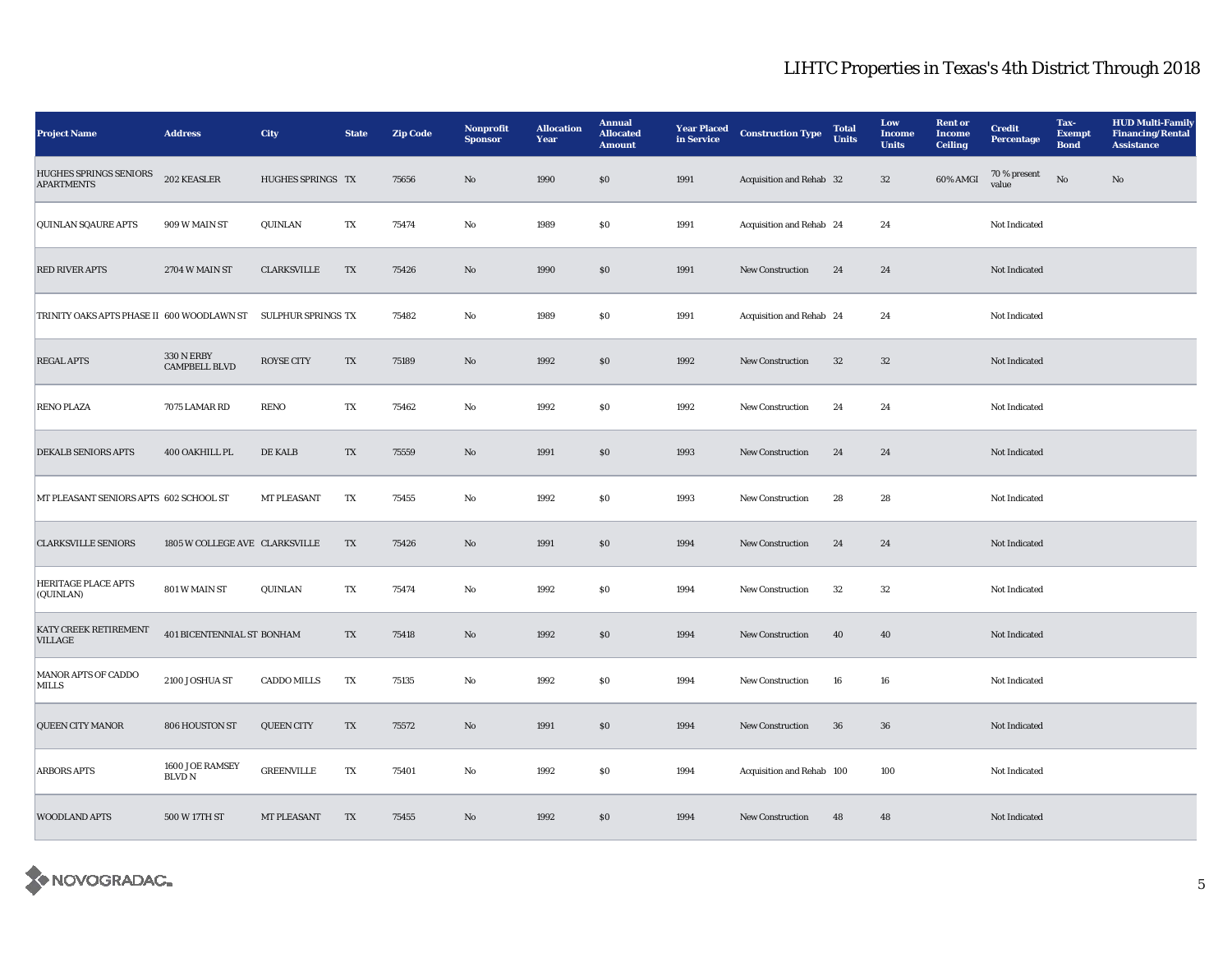| <b>Project Name</b>                                           | <b>Address</b>                            | <b>City</b>        | <b>State</b>           | <b>Zip Code</b> | Nonprofit<br><b>Sponsor</b> | <b>Allocation</b><br>Year | <b>Annual</b><br><b>Allocated</b><br><b>Amount</b> | <b>Year Placed</b><br>in Service | <b>Construction Type</b>  | <b>Total</b><br><b>Units</b> | Low<br><b>Income</b><br><b>Units</b> | <b>Rent</b> or<br><b>Income</b><br><b>Ceiling</b> | <b>Credit</b><br>Percentage | Tax-<br><b>Exempt</b><br><b>Bond</b> | <b>HUD Multi-Family</b><br><b>Financing/Rental</b><br><b>Assistance</b> |
|---------------------------------------------------------------|-------------------------------------------|--------------------|------------------------|-----------------|-----------------------------|---------------------------|----------------------------------------------------|----------------------------------|---------------------------|------------------------------|--------------------------------------|---------------------------------------------------|-----------------------------|--------------------------------------|-------------------------------------------------------------------------|
| HUGHES SPRINGS SENIORS<br><b>APARTMENTS</b>                   | 202 KEASLER                               | HUGHES SPRINGS TX  |                        | 75656           | $\mathbf{N}\mathbf{o}$      | 1990                      | $\$0$                                              | 1991                             | Acquisition and Rehab 32  |                              | $32\,$                               | 60% AMGI                                          | 70 % present<br>value       | No                                   | No                                                                      |
| <b>QUINLAN SQAURE APTS</b>                                    | 909 W MAIN ST                             | QUINLAN            | TX                     | 75474           | No                          | 1989                      | \$0                                                | 1991                             | Acquisition and Rehab 24  |                              | 24                                   |                                                   | Not Indicated               |                                      |                                                                         |
| <b>RED RIVER APTS</b>                                         | 2704 W MAIN ST                            | <b>CLARKSVILLE</b> | TX                     | 75426           | $\rm No$                    | 1990                      | $\$0$                                              | 1991                             | New Construction          | 24                           | 24                                   |                                                   | Not Indicated               |                                      |                                                                         |
| TRINITY OAKS APTS PHASE II 600 WOODLAWN ST SULPHUR SPRINGS TX |                                           |                    |                        | 75482           | No                          | 1989                      | \$0                                                | 1991                             | Acquisition and Rehab 24  |                              | 24                                   |                                                   | Not Indicated               |                                      |                                                                         |
| <b>REGAL APTS</b>                                             | <b>330 N ERBY</b><br><b>CAMPBELL BLVD</b> | <b>ROYSE CITY</b>  | TX                     | 75189           | No                          | 1992                      | \$0                                                | 1992                             | <b>New Construction</b>   | 32                           | 32                                   |                                                   | Not Indicated               |                                      |                                                                         |
| <b>RENO PLAZA</b>                                             | 7075 LAMAR RD                             | <b>RENO</b>        | TX                     | 75462           | $\rm No$                    | 1992                      | $\$0$                                              | 1992                             | New Construction          | 24                           | 24                                   |                                                   | Not Indicated               |                                      |                                                                         |
| <b>DEKALB SENIORS APTS</b>                                    | 400 OAKHILL PL                            | <b>DE KALB</b>     | TX                     | 75559           | No                          | 1991                      | \$0                                                | 1993                             | New Construction          | 24                           | 24                                   |                                                   | <b>Not Indicated</b>        |                                      |                                                                         |
| MT PLEASANT SENIORS APTS 602 SCHOOL ST                        |                                           | <b>MT PLEASANT</b> | TX                     | 75455           | No                          | 1992                      | \$0                                                | 1993                             | New Construction          | 28                           | 28                                   |                                                   | Not Indicated               |                                      |                                                                         |
| <b>CLARKSVILLE SENIORS</b>                                    | 1805 W COLLEGE AVE CLARKSVILLE            |                    | TX                     | 75426           | No                          | 1991                      | $\$0$                                              | 1994                             | New Construction          | 24                           | 24                                   |                                                   | Not Indicated               |                                      |                                                                         |
| <b>HERITAGE PLACE APTS</b><br>(QUINLAN)                       | 801 W MAIN ST                             | QUINLAN            | $\mathbf{T}\mathbf{X}$ | 75474           | $\rm No$                    | 1992                      | \$0                                                | 1994                             | New Construction          | 32                           | 32                                   |                                                   | Not Indicated               |                                      |                                                                         |
| KATY CREEK RETIREMENT<br><b>VILLAGE</b>                       | 401 BICENTENNIAL ST BONHAM                |                    | TX                     | 75418           | No                          | 1992                      | $\$0$                                              | 1994                             | <b>New Construction</b>   | 40                           | 40                                   |                                                   | Not Indicated               |                                      |                                                                         |
| <b>MANOR APTS OF CADDO</b><br><b>MILLS</b>                    | 2100 JOSHUA ST                            | <b>CADDO MILLS</b> | TX                     | 75135           | No                          | 1992                      | \$0                                                | 1994                             | <b>New Construction</b>   | 16                           | 16                                   |                                                   | Not Indicated               |                                      |                                                                         |
| <b>QUEEN CITY MANOR</b>                                       | 806 HOUSTON ST                            | <b>QUEEN CITY</b>  | TX                     | 75572           | No                          | 1991                      | $\$0$                                              | 1994                             | New Construction          | 36                           | 36                                   |                                                   | Not Indicated               |                                      |                                                                         |
| <b>ARBORS APTS</b>                                            | 1600 JOE RAMSEY<br><b>BLVDN</b>           | <b>GREENVILLE</b>  | TX                     | 75401           | No                          | 1992                      | \$0                                                | 1994                             | Acquisition and Rehab 100 |                              | 100                                  |                                                   | Not Indicated               |                                      |                                                                         |
| <b>WOODLAND APTS</b>                                          | 500 W 17TH ST                             | MT PLEASANT        | TX                     | 75455           | $\mathbf{N}\mathbf{o}$      | 1992                      | \$0                                                | 1994                             | New Construction          | 48                           | 48                                   |                                                   | Not Indicated               |                                      |                                                                         |